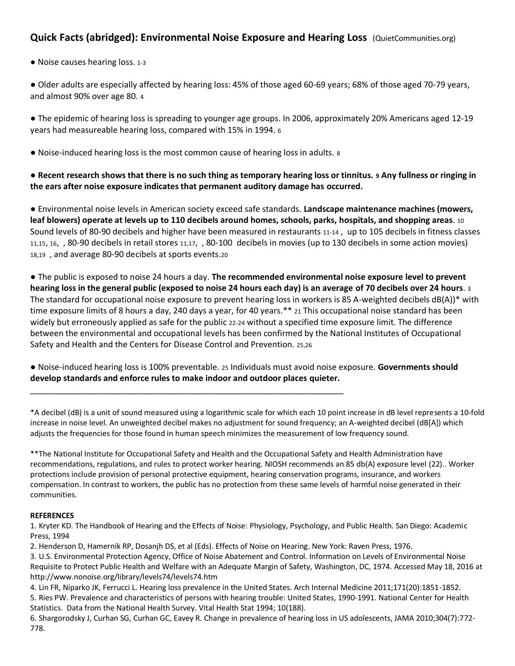## **Quick Facts (abridged): Environmental Noise Exposure and Hearing Loss** (QuietCommunities.org)

● Noise causes hearing loss. 1-3

● Older adults are especially affected by hearing loss: 45% of those aged 60-69 years; 68% of those aged 70-79 years, and almost 90% over age 80. 4

● The epidemic of hearing loss is spreading to younger age groups. In 2006, approximately 20% Americans aged 12-19 years had measureable hearing loss, compared with 15% in 1994. 6

● Noise-induced hearing loss is the most common cause of hearing loss in adults. 8

\_\_\_\_\_\_\_\_\_\_\_\_\_\_\_\_\_\_\_\_\_\_\_\_\_\_\_\_\_\_\_\_\_\_\_\_\_\_\_\_\_\_\_\_\_\_\_\_\_\_\_\_\_\_\_\_\_\_\_\_\_\_\_\_\_\_\_\_

**● Recent research shows that there is no such thing as temporary hearing loss or tinnitus. 9 Any fullness or ringing in the ears after noise exposure indicates that permanent auditory damage has occurred.**

● Environmental noise levels in American society exceed safe standards. **Landscape maintenance machines (mowers, leaf blowers) operate at levels up to 110 decibels around homes, schools, parks, hospitals, and shopping areas**. 10 Sound levels of 80-90 decibels and higher have been measured in restaurants 11-14 , up to 105 decibels in fitness classes 11,15, 16, , 80-90 decibels in retail stores 11,17, , 80-100 decibels in movies (up to 130 decibels in some action movies) 18,19 , and average 80-90 decibels at sports events.20

● The public is exposed to noise 24 hours a day. **The recommended environmental noise exposure level to prevent hearing loss in the general public (exposed to noise 24 hours each day) is an average of 70 decibels over 24 hours**. 3 The standard for occupational noise exposure to prevent hearing loss in workers is 85 A-weighted decibels  $dB(A)$ <sup>\*</sup> with time exposure limits of 8 hours a day, 240 days a year, for 40 years.\*\* 21 This occupational noise standard has been widely but erroneously applied as safe for the public 22-24 without a specified time exposure limit. The difference between the environmental and occupational levels has been confirmed by the National Institutes of Occupational Safety and Health and the Centers for Disease Control and Prevention. 25,26

● Noise-induced hearing loss is 100% preventable. 25 Individuals must avoid noise exposure. **Governments should develop standards and enforce rules to make indoor and outdoor places quieter.**

\*A decibel (dB) is a unit of sound measured using a logarithmic scale for which each 10 point increase in dB level represents a 10-fold increase in noise level. An unweighted decibel makes no adjustment for sound frequency; an A-weighted decibel (dB[A]) which adjusts the frequencies for those found in human speech minimizes the measurement of low frequency sound.

\*\*The National Institute for Occupational Safety and Health and the Occupational Safety and Health Administration have recommendations, regulations, and rules to protect worker hearing. NIOSH recommends an 85 db(A) exposure level (22).. Worker protections include provision of personal protective equipment, hearing conservation programs, insurance, and workers compensation. In contrast to workers, the public has no protection from these same levels of harmful noise generated in their communities.

## **REFERENCES**

1. Kryter KD. The Handbook of Hearing and the Effects of Noise: Physiology, Psychology, and Public Health. San Diego: Academic Press, 1994

2. Henderson D, Hamernik RP, Dosanjh DS, et al (Eds). Effects of Noise on Hearing. New York: Raven Press, 1976.

3. U.S. Environmental Protection Agency, Office of Noise Abatement and Control. Information on Levels of Environmental Noise Requisite to Protect Public Health and Welfare with an Adequate Margin of Safety, Washington, DC, 1974. Accessed May 18, 2016 at http://www.nonoise.org/library/levels74/levels74.htm

4. Lin FR, Niparko JK, Ferrucci L. Hearing loss prevalence in the United States. Arch Internal Medicine 2011;171(20):1851-1852. 5. Ries PW. Prevalence and characteristics of persons with hearing trouble: United States, 1990-1991. National Center for Health Statistics. Data from the National Health Survey. Vital Health Stat 1994; 10(188).

6. Shargorodsky J, Curhan SG, Curhan GC, Eavey R. Change in prevalence of hearing loss in US adolescents, JAMA 2010;304(7):772- 778.